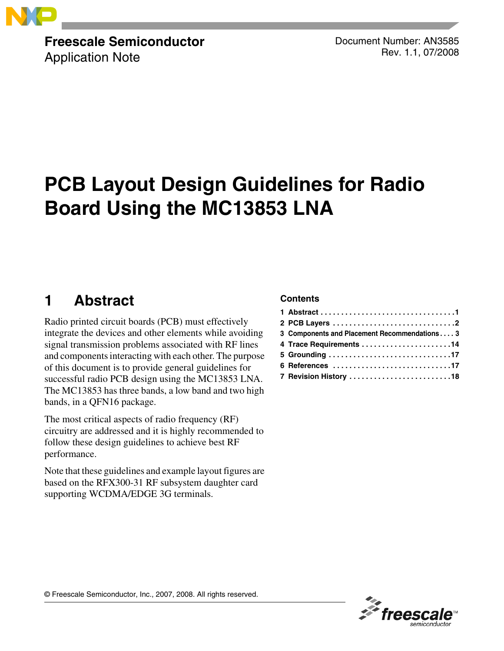

### **Freescale Semiconductor** Application Note

Document Number: AN3585 Rev. 1.1, 07/2008

# **PCB Layout Design Guidelines for Radio Board Using the MC13853 LNA**

## <span id="page-0-0"></span>**1 Abstract**

Radio printed circuit boards (PCB) must effectively integrate the devices and other elements while avoiding signal transmission problems associated with RF lines and components interacting with each other. The purpose of this document is to provide general guidelines for successful radio PCB design using the MC13853 LNA. The MC13853 has three bands, a low band and two high bands, in a QFN16 package.

The most critical aspects of radio frequency (RF) circuitry are addressed and it is highly recommended to follow these design guidelines to achieve best RF performance.

Note that these guidelines and example layout figures are based on the RFX300-31 RF subsystem daughter card supporting WCDMA/EDGE 3G terminals.

### **Contents**

| 3 Components and Placement Recommendations3 |
|---------------------------------------------|
|                                             |
|                                             |
| 6 References 17                             |
| 7 Revision History 18                       |
|                                             |

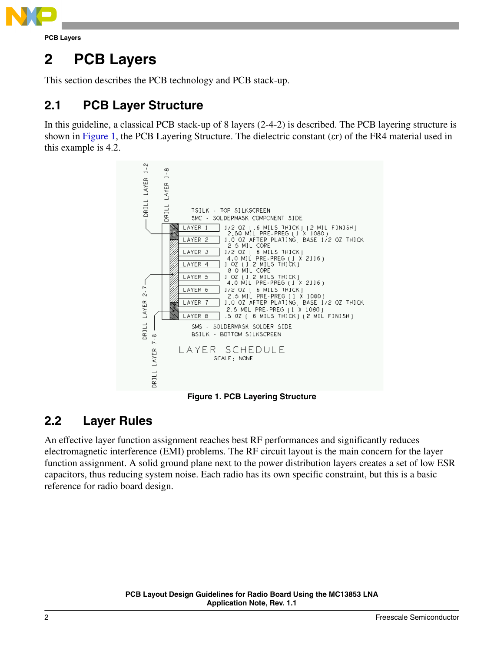

## <span id="page-1-0"></span>**2 PCB Layers**

This section describes the PCB technology and PCB stack-up.

## **2.1 PCB Layer Structure**

In this guideline, a classical PCB stack-up of 8 layers (2-4-2) is described. The PCB layering structure is shown in [Figure 1,](#page-1-1) the [PCB Layering Structure](#page-1-1). The dielectric constant (εr) of the FR4 material used in this example is 4.2.



**Figure 1. PCB Layering Structure**

## <span id="page-1-1"></span>**2.2 Layer Rules**

An effective layer function assignment reaches best RF performances and significantly reduces electromagnetic interference (EMI) problems. The RF circuit layout is the main concern for the layer function assignment. A solid ground plane next to the power distribution layers creates a set of low ESR capacitors, thus reducing system noise. Each radio has its own specific constraint, but this is a basic reference for radio board design.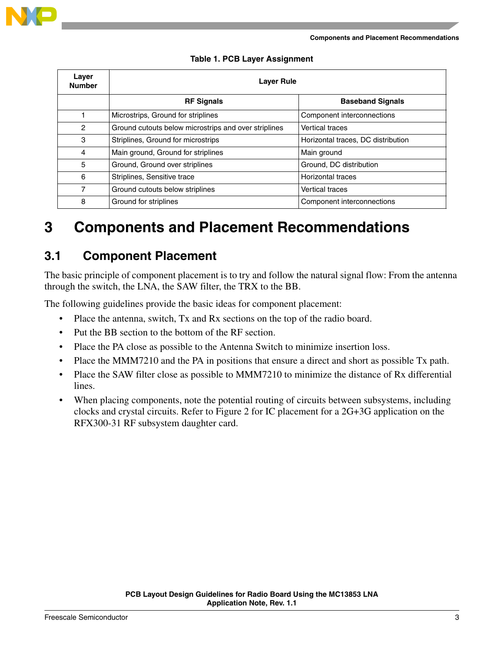

| Layer<br><b>Number</b> | <b>Laver Rule</b>                                    |                                    |  |
|------------------------|------------------------------------------------------|------------------------------------|--|
|                        | <b>RF Signals</b>                                    | <b>Baseband Signals</b>            |  |
|                        | Microstrips, Ground for striplines                   | Component interconnections         |  |
| $\overline{c}$         | Ground cutouts below microstrips and over striplines | <b>Vertical traces</b>             |  |
| 3                      | Striplines, Ground for microstrips                   | Horizontal traces, DC distribution |  |
| 4                      | Main ground, Ground for striplines                   | Main ground                        |  |
| 5                      | Ground, Ground over striplines                       | Ground, DC distribution            |  |
| 6                      | Striplines, Sensitive trace                          | Horizontal traces                  |  |
| 7                      | Ground cutouts below striplines                      | <b>Vertical traces</b>             |  |
| 8                      | Ground for striplines                                | Component interconnections         |  |

#### **Table 1. PCB Layer Assignment**

## <span id="page-2-0"></span>**3 Components and Placement Recommendations**

### **3.1 Component Placement**

The basic principle of component placement is to try and follow the natural signal flow: From the antenna through the switch, the LNA, the SAW filter, the TRX to the BB.

The following guidelines provide the basic ideas for component placement:

- Place the antenna, switch, Tx and Rx sections on the top of the radio board.
- Put the BB section to the bottom of the RF section.
- Place the PA close as possible to the Antenna Switch to minimize insertion loss.
- Place the MMM7210 and the PA in positions that ensure a direct and short as possible Tx path.
- Place the SAW filter close as possible to MMM7210 to minimize the distance of Rx differential lines.
- When placing components, note the potential routing of circuits between subsystems, including clocks and crystal circuits. Refer to Figure 2 for IC placement for a 2G+3G application on the RFX300-31 RF subsystem daughter card.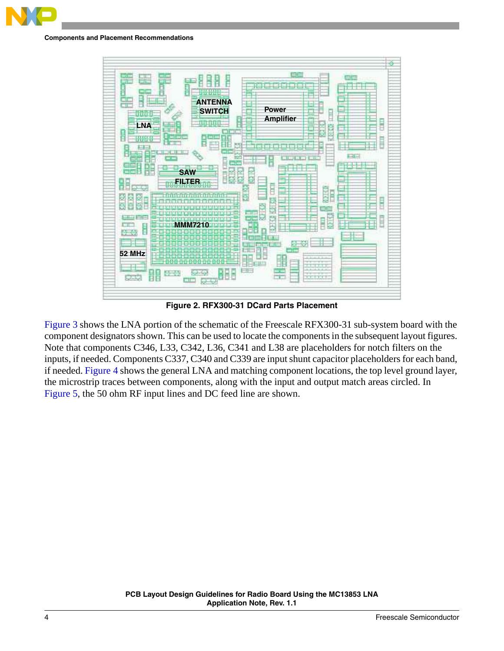

**Components and Placement Recommendations**



**Figure 2. RFX300-31 DCard Parts Placement**

[Figure 3](#page-4-0) shows the LNA portion of the schematic of the Freescale RFX300-31 sub-system board with the component designators shown. This can be used to locate the components in the subsequent layout figures. Note that components C346, L33, C342, L36, C341 and L38 are placeholders for notch filters on the inputs, if needed. Components C337, C340 and C339 are input shunt capacitor placeholders for each band, if needed. [Figure 4](#page-5-0) shows the general LNA and matching component locations, the top level ground layer, the microstrip traces between components, along with the input and output match areas circled. In [Figure 5](#page-6-0), the 50 ohm RF input lines and DC feed line are shown.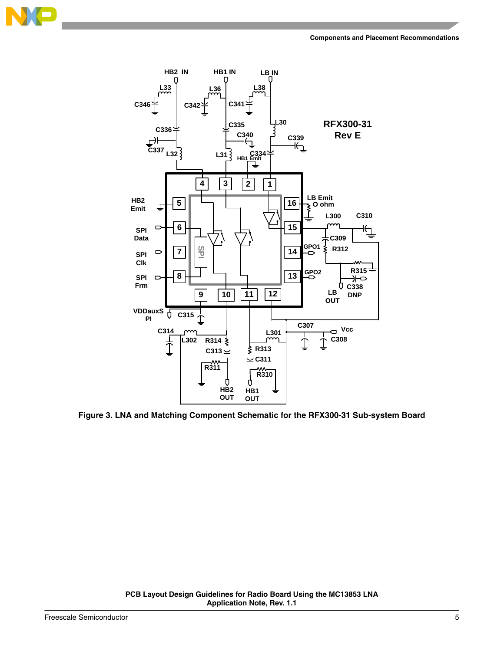





<span id="page-4-0"></span>**Figure 3. LNA and Matching Component Schematic for the RFX300-31 Sub-system Board**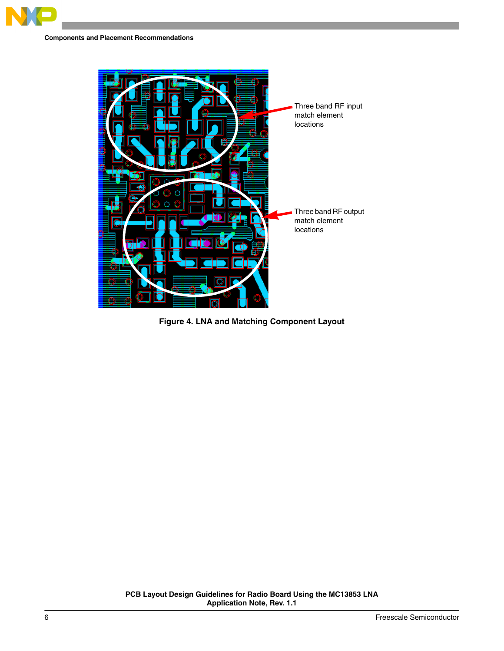

<span id="page-5-0"></span>

**Figure 4. LNA and Matching Component Layout**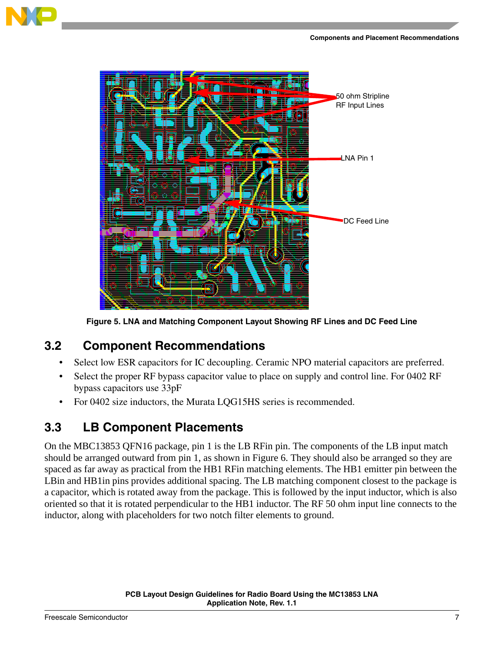



**Figure 5. LNA and Matching Component Layout Showing RF Lines and DC Feed Line**

### <span id="page-6-0"></span>**3.2 Component Recommendations**

- Select low ESR capacitors for IC decoupling. Ceramic NPO material capacitors are preferred.
- Select the proper RF bypass capacitor value to place on supply and control line. For 0402 RF bypass capacitors use 33pF
- For 0402 size inductors, the Murata LQG15HS series is recommended.

### <span id="page-6-1"></span>**3.3 LB Component Placements**

On the MBC13853 QFN16 package, pin 1 is the LB RFin pin. The components of the LB input match should be arranged outward from pin 1, as shown in Figure 6. They should also be arranged so they are spaced as far away as practical from the HB1 RFin matching elements. The HB1 emitter pin between the LBin and HB1 in pins provides additional spacing. The LB matching component closest to the package is a capacitor, which is rotated away from the package. This is followed by the input inductor, which is also oriented so that it is rotated perpendicular to the HB1 inductor. The RF 50 ohm input line connects to the inductor, along with placeholders for two notch filter elements to ground.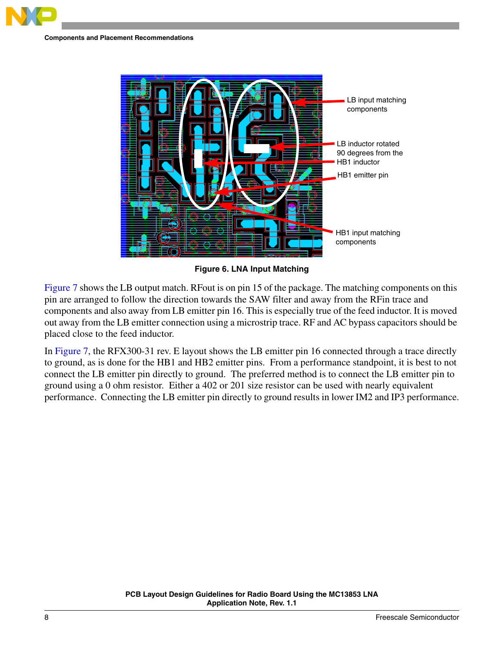

**Figure 6. LNA Input Matching**

<span id="page-7-0"></span>[Figure 7](#page-8-0) shows the LB output match. RFout is on pin 15 of the package. The matching components on this pin are arranged to follow the direction towards the SAW filter and away from the RFin trace and components and also away from LB emitter pin 16. This is especially true of the feed inductor. It is moved out away from the LB emitter connection using a microstrip trace. RF and AC bypass capacitors should be placed close to the feed inductor.

In [Figure 7](#page-8-0), the RFX300-31 rev. E layout shows the LB emitter pin 16 connected through a trace directly to ground, as is done for the HB1 and HB2 emitter pins. From a performance standpoint, it is best to not connect the LB emitter pin directly to ground. The preferred method is to connect the LB emitter pin to ground using a 0 ohm resistor. Either a 402 or 201 size resistor can be used with nearly equivalent performance. Connecting the LB emitter pin directly to ground results in lower IM2 and IP3 performance.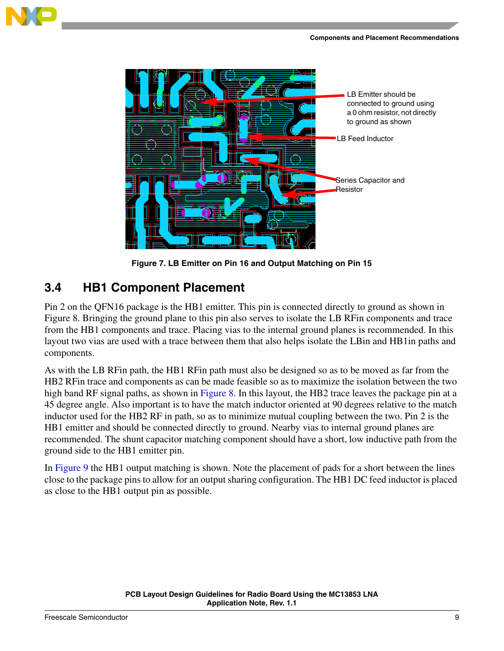



**Figure 7. LB Emitter on Pin 16 and Output Matching on Pin 15**

### <span id="page-8-0"></span>**3.4 HB1 Component Placement**

Pin 2 on the QFN16 package is the HB1 emitter. This pin is connected directly to ground as shown in Figure 8. Bringing the ground plane to this pin also serves to isolate the LB RFin components and trace from the HB1 components and trace. Placing vias to the internal ground planes is recommended. In this layout two vias are used with a trace between them that also helps isolate the LBin and HB1in paths and components.

As with the LB RFin path, the HB1 RFin path must also be designed so as to be moved as far from the HB2 RFin trace and components as can be made feasible so as to maximize the isolation between the two high band RF signal paths, as shown in [Figure 8.](#page-9-0) In this layout, the HB2 trace leaves the package pin at a 45 degree angle. Also important is to have the match inductor oriented at 90 degrees relative to the match inductor used for the HB2 RF in path, so as to minimize mutual coupling between the two. Pin 2 is the HB1 emitter and should be connected directly to ground. Nearby vias to internal ground planes are recommended. The shunt capacitor matching component should have a short, low inductive path from the ground side to the HB1 emitter pin.

In [Figure 9](#page-9-1) the HB1 output matching is shown. Note the placement of pads for a short between the lines close to the package pins to allow for an output sharing configuration. The HB1 DC feed inductor is placed as close to the HB1 output pin as possible.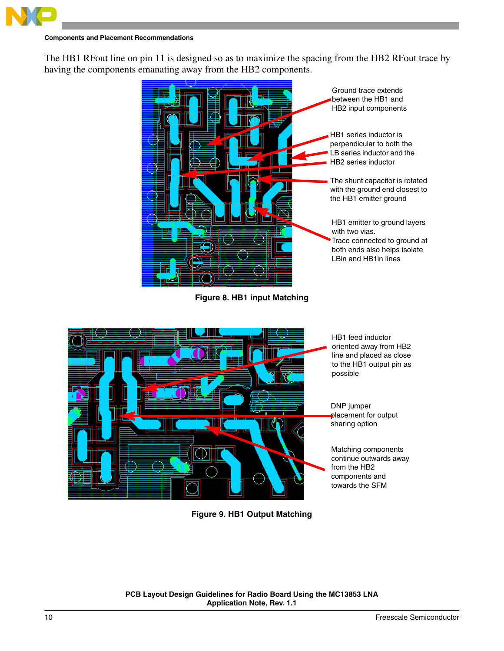

The HB1 RFout line on pin 11 is designed so as to maximize the spacing from the HB2 RFout trace by having the components emanating away from the HB2 components.



**Figure 8. HB1 input Matching**

<span id="page-9-0"></span>

line and placed as close to the HB1 output pin as possible

DNP jumper placement for output sharing option

Matching components continue outwards away from the HB2 components and towards the SFM

<span id="page-9-1"></span>**Figure 9. HB1 Output Matching**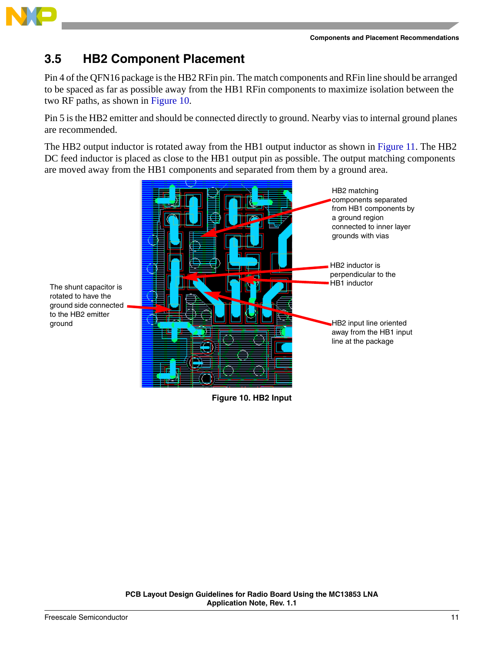

### **3.5 HB2 Component Placement**

Pin 4 of the QFN16 package is the HB2 RFin pin. The match components and RFin line should be arranged to be spaced as far as possible away from the HB1 RFin components to maximize isolation between the two RF paths, as shown in [Figure 10.](#page-10-0)

Pin 5 is the HB2 emitter and should be connected directly to ground. Nearby vias to internal ground planes are recommended.

The HB2 output inductor is rotated away from the HB1 output inductor as shown in [Figure 11.](#page-11-0) The HB2 DC feed inductor is placed as close to the HB1 output pin as possible. The output matching components are moved away from the HB1 components and separated from them by a ground area.



<span id="page-10-0"></span>**Figure 10. HB2 Input**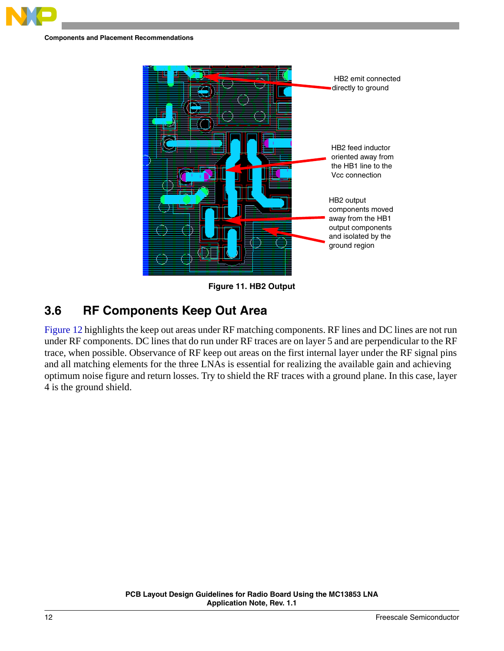



**Figure 11. HB2 Output**

### <span id="page-11-0"></span>**3.6 RF Components Keep Out Area**

[Figure 12](#page-12-1) highlights the keep out areas under RF matching components. RF lines and DC lines are not run under RF components. DC lines that do run under RF traces are on layer 5 and are perpendicular to the RF trace, when possible. Observance of RF keep out areas on the first internal layer under the RF signal pins and all matching elements for the three LNAs is essential for realizing the available gain and achieving optimum noise figure and return losses. Try to shield the RF traces with a ground plane. In this case, layer 4 is the ground shield.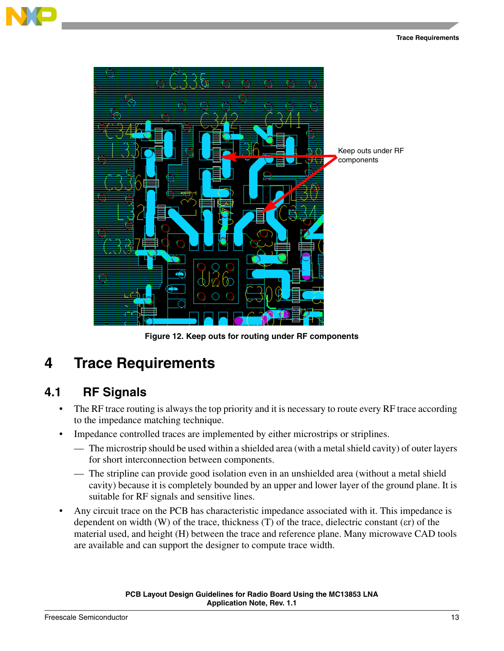



**Figure 12. Keep outs for routing under RF components**

## <span id="page-12-1"></span><span id="page-12-0"></span>**4 Trace Requirements**

### **4.1 RF Signals**

- The RF trace routing is always the top priority and it is necessary to route every RF trace according to the impedance matching technique.
- Impedance controlled traces are implemented by either microstrips or striplines.
	- The microstrip should be used within a shielded area (with a metal shield cavity) of outer layers for short interconnection between components.
	- The stripline can provide good isolation even in an unshielded area (without a metal shield cavity) because it is completely bounded by an upper and lower layer of the ground plane. It is suitable for RF signals and sensitive lines.
- Any circuit trace on the PCB has characteristic impedance associated with it. This impedance is dependent on width (W) of the trace, thickness (T) of the trace, dielectric constant (εr) of the material used, and height (H) between the trace and reference plane. Many microwave CAD tools are available and can support the designer to compute trace width.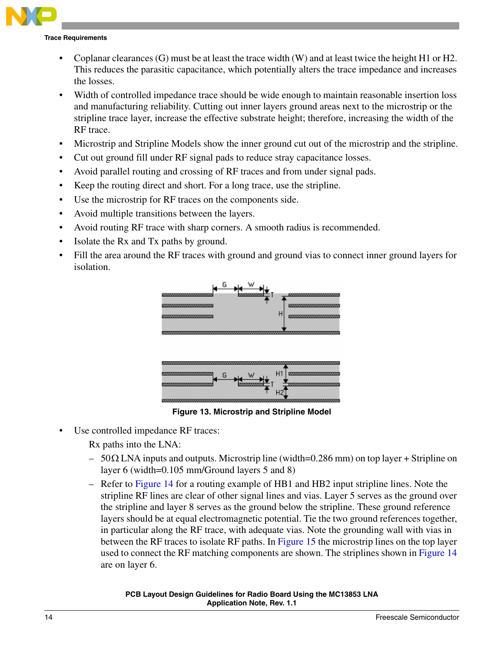#### **Trace Requirements**

- Coplanar clearances  $(G)$  must be at least the trace width  $(W)$  and at least twice the height H1 or H2. This reduces the parasitic capacitance, which potentially alters the trace impedance and increases the losses.
- Width of controlled impedance trace should be wide enough to maintain reasonable insertion loss and manufacturing reliability. Cutting out inner layers ground areas next to the microstrip or the stripline trace layer, increase the effective substrate height; therefore, increasing the width of the RF trace.
- Microstrip and Stripline Models show the inner ground cut out of the microstrip and the stripline.
- Cut out ground fill under RF signal pads to reduce stray capacitance losses.
- Avoid parallel routing and crossing of RF traces and from under signal pads.
- Keep the routing direct and short. For a long trace, use the stripline.
- Use the microstrip for RF traces on the components side.
- Avoid multiple transitions between the layers.
- Avoid routing RF trace with sharp corners. A smooth radius is recommended.
- Isolate the Rx and Tx paths by ground.
- Fill the area around the RF traces with ground and ground vias to connect inner ground layers for isolation.





**Figure 13. Microstrip and Stripline Model**

Use controlled impedance RF traces:

Rx paths into the LNA:

- 50Ω LNA inputs and outputs. Microstrip line (width=0.286 mm) on top layer + Stripline on layer 6 (width=0.105 mm/Ground layers 5 and 8)
- Refer to [Figure 14](#page-14-0) for a routing example of HB1 and HB2 input stripline lines. Note the stripline RF lines are clear of other signal lines and vias. Layer 5 serves as the ground over the stripline and layer 8 serves as the ground below the stripline. These ground reference layers should be at equal electromagnetic potential. Tie the two ground references together, in particular along the RF trace, with adequate vias. Note the grounding wall with vias in between the RF traces to isolate RF paths. In [Figure 15](#page-14-1) the microstrip lines on the top layer used to connect the RF matching components are shown. The striplines shown in [Figure 14](#page-14-0) are on layer 6.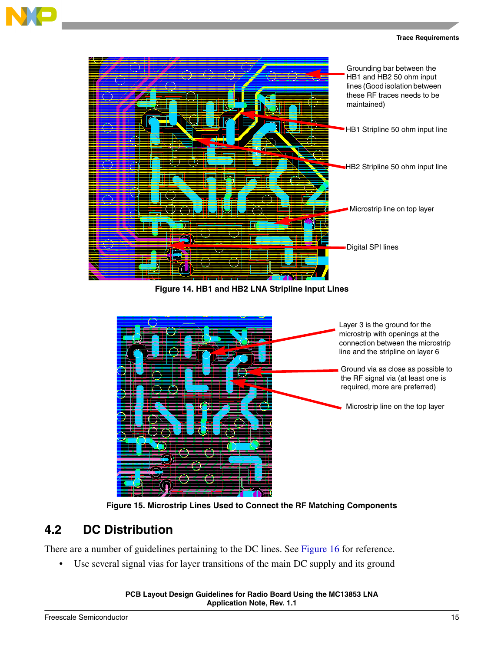



**Figure 14. HB1 and HB2 LNA Stripline Input Lines**

<span id="page-14-0"></span>

**Figure 15. Microstrip Lines Used to Connect the RF Matching Components**

### <span id="page-14-1"></span>**4.2 DC Distribution**

There are a number of guidelines pertaining to the DC lines. See [Figure 16](#page-15-1) for reference.

• Use several signal vias for layer transitions of the main DC supply and its ground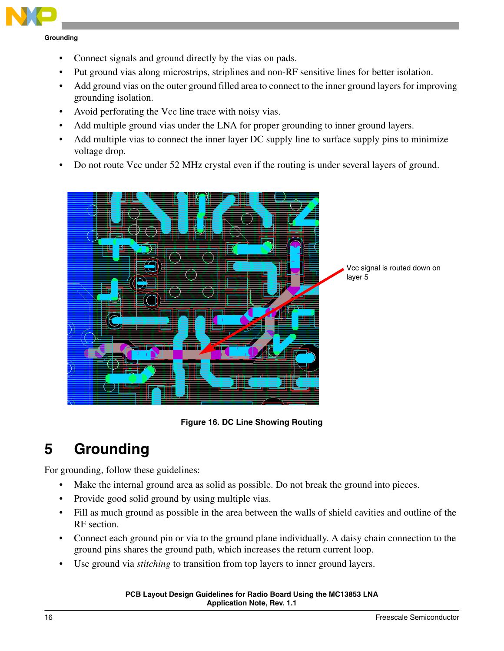

**Grounding**

- Connect signals and ground directly by the vias on pads.
- Put ground vias along microstrips, striplines and non-RF sensitive lines for better isolation.
- Add ground vias on the outer ground filled area to connect to the inner ground layers for improving grounding isolation.
- Avoid perforating the Vcc line trace with noisy vias.
- Add multiple ground vias under the LNA for proper grounding to inner ground layers.
- Add multiple vias to connect the inner layer DC supply line to surface supply pins to minimize voltage drop.
- Do not route Vcc under 52 MHz crystal even if the routing is under several layers of ground.



**Figure 16. DC Line Showing Routing**

# <span id="page-15-1"></span><span id="page-15-0"></span>**5 Grounding**

For grounding, follow these guidelines:

- Make the internal ground area as solid as possible. Do not break the ground into pieces.
- Provide good solid ground by using multiple vias.
- Fill as much ground as possible in the area between the walls of shield cavities and outline of the RF section.
- Connect each ground pin or via to the ground plane individually. A daisy chain connection to the ground pins shares the ground path, which increases the return current loop.
- Use ground via *stitching* to transition from top layers to inner ground layers.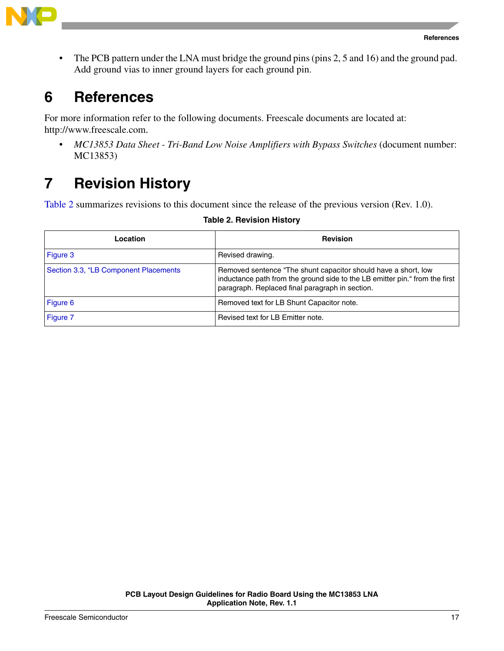

• The PCB pattern under the LNA must bridge the ground pins (pins 2, 5 and 16) and the ground pad. Add ground vias to inner ground layers for each ground pin.

## <span id="page-16-0"></span>**6 References**

For more information refer to the following documents. Freescale documents are located at: http://www.freescale.com.

• *MC13853 Data Sheet - Tri-Band Low Noise Amplifiers with Bypass Switches* (document number: MC13853)

## <span id="page-16-1"></span>**7 Revision History**

<span id="page-16-2"></span>[Table 2](#page-16-2) summarizes revisions to this document since the release of the previous version (Rev. 1.0).

| Location                              | <b>Revision</b>                                                                                                                                                                                  |
|---------------------------------------|--------------------------------------------------------------------------------------------------------------------------------------------------------------------------------------------------|
| Figure 3                              | Revised drawing.                                                                                                                                                                                 |
| Section 3.3, "LB Component Placements | Removed sentence "The shunt capacitor should have a short, low<br>inductance path from the ground side to the LB emitter pin." from the first<br>paragraph. Replaced final paragraph in section. |
| Figure 6                              | Removed text for LB Shunt Capacitor note.                                                                                                                                                        |
| Figure 7                              | Revised text for LB Emitter note.                                                                                                                                                                |

### **Table 2. Revision History**